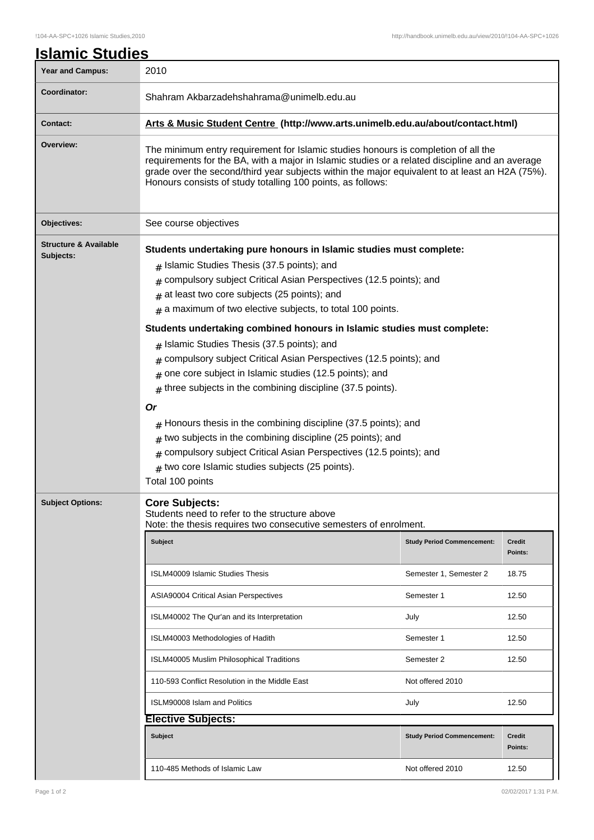| <u> Islamic Studies</u>                       |                                                                                                                                                                                                                                                                                                                                                                                                                                                                                                                                                                                                                                                                                                                                                                                                                                                                                                                                                      |                                   |                          |  |
|-----------------------------------------------|------------------------------------------------------------------------------------------------------------------------------------------------------------------------------------------------------------------------------------------------------------------------------------------------------------------------------------------------------------------------------------------------------------------------------------------------------------------------------------------------------------------------------------------------------------------------------------------------------------------------------------------------------------------------------------------------------------------------------------------------------------------------------------------------------------------------------------------------------------------------------------------------------------------------------------------------------|-----------------------------------|--------------------------|--|
| <b>Year and Campus:</b>                       | 2010                                                                                                                                                                                                                                                                                                                                                                                                                                                                                                                                                                                                                                                                                                                                                                                                                                                                                                                                                 |                                   |                          |  |
| Coordinator:                                  | Shahram Akbarzadehshahrama@unimelb.edu.au                                                                                                                                                                                                                                                                                                                                                                                                                                                                                                                                                                                                                                                                                                                                                                                                                                                                                                            |                                   |                          |  |
| Contact:                                      | Arts & Music Student Centre (http://www.arts.unimelb.edu.au/about/contact.html)                                                                                                                                                                                                                                                                                                                                                                                                                                                                                                                                                                                                                                                                                                                                                                                                                                                                      |                                   |                          |  |
| Overview:                                     | The minimum entry requirement for Islamic studies honours is completion of all the<br>requirements for the BA, with a major in Islamic studies or a related discipline and an average<br>grade over the second/third year subjects within the major equivalent to at least an H2A (75%).<br>Honours consists of study totalling 100 points, as follows:                                                                                                                                                                                                                                                                                                                                                                                                                                                                                                                                                                                              |                                   |                          |  |
| Objectives:                                   | See course objectives                                                                                                                                                                                                                                                                                                                                                                                                                                                                                                                                                                                                                                                                                                                                                                                                                                                                                                                                |                                   |                          |  |
| <b>Structure &amp; Available</b><br>Subjects: | Students undertaking pure honours in Islamic studies must complete:<br>$#$ Islamic Studies Thesis (37.5 points); and<br>$#$ compulsory subject Critical Asian Perspectives (12.5 points); and<br>$#$ at least two core subjects (25 points); and<br>$#$ a maximum of two elective subjects, to total 100 points.<br>Students undertaking combined honours in Islamic studies must complete:<br>$#$ Islamic Studies Thesis (37.5 points); and<br>$#$ compulsory subject Critical Asian Perspectives (12.5 points); and<br>$#$ one core subject in Islamic studies (12.5 points); and<br>three subjects in the combining discipline (37.5 points).<br>#<br>Or<br>$#$ Honours thesis in the combining discipline (37.5 points); and<br>$#$ two subjects in the combining discipline (25 points); and<br>$#$ compulsory subject Critical Asian Perspectives (12.5 points); and<br>$#$ two core Islamic studies subjects (25 points).<br>Total 100 points |                                   |                          |  |
| <b>Subject Options:</b>                       | <b>Core Subjects:</b><br>Students need to refer to the structure above<br>Note: the thesis requires two consecutive semesters of enrolment.                                                                                                                                                                                                                                                                                                                                                                                                                                                                                                                                                                                                                                                                                                                                                                                                          |                                   |                          |  |
|                                               | <b>Subject</b>                                                                                                                                                                                                                                                                                                                                                                                                                                                                                                                                                                                                                                                                                                                                                                                                                                                                                                                                       | <b>Study Period Commencement:</b> | <b>Credit</b><br>Points: |  |
|                                               | <b>ISLM40009 Islamic Studies Thesis</b>                                                                                                                                                                                                                                                                                                                                                                                                                                                                                                                                                                                                                                                                                                                                                                                                                                                                                                              | Semester 1, Semester 2            | 18.75                    |  |
|                                               | ASIA90004 Critical Asian Perspectives                                                                                                                                                                                                                                                                                                                                                                                                                                                                                                                                                                                                                                                                                                                                                                                                                                                                                                                | Semester 1                        | 12.50                    |  |
|                                               | ISLM40002 The Qur'an and its Interpretation                                                                                                                                                                                                                                                                                                                                                                                                                                                                                                                                                                                                                                                                                                                                                                                                                                                                                                          | July                              | 12.50                    |  |
|                                               | ISLM40003 Methodologies of Hadith                                                                                                                                                                                                                                                                                                                                                                                                                                                                                                                                                                                                                                                                                                                                                                                                                                                                                                                    | Semester 1                        | 12.50                    |  |
|                                               | ISLM40005 Muslim Philosophical Traditions                                                                                                                                                                                                                                                                                                                                                                                                                                                                                                                                                                                                                                                                                                                                                                                                                                                                                                            | Semester 2                        | 12.50                    |  |
|                                               | 110-593 Conflict Resolution in the Middle East                                                                                                                                                                                                                                                                                                                                                                                                                                                                                                                                                                                                                                                                                                                                                                                                                                                                                                       | Not offered 2010                  |                          |  |
|                                               | <b>ISLM90008 Islam and Politics</b>                                                                                                                                                                                                                                                                                                                                                                                                                                                                                                                                                                                                                                                                                                                                                                                                                                                                                                                  | July                              | 12.50                    |  |
|                                               | <b>Elective Subjects:</b><br><b>Subject</b>                                                                                                                                                                                                                                                                                                                                                                                                                                                                                                                                                                                                                                                                                                                                                                                                                                                                                                          | <b>Study Period Commencement:</b> | <b>Credit</b>            |  |
|                                               |                                                                                                                                                                                                                                                                                                                                                                                                                                                                                                                                                                                                                                                                                                                                                                                                                                                                                                                                                      |                                   | Points:                  |  |
|                                               | 110-485 Methods of Islamic Law                                                                                                                                                                                                                                                                                                                                                                                                                                                                                                                                                                                                                                                                                                                                                                                                                                                                                                                       | Not offered 2010                  | 12.50                    |  |